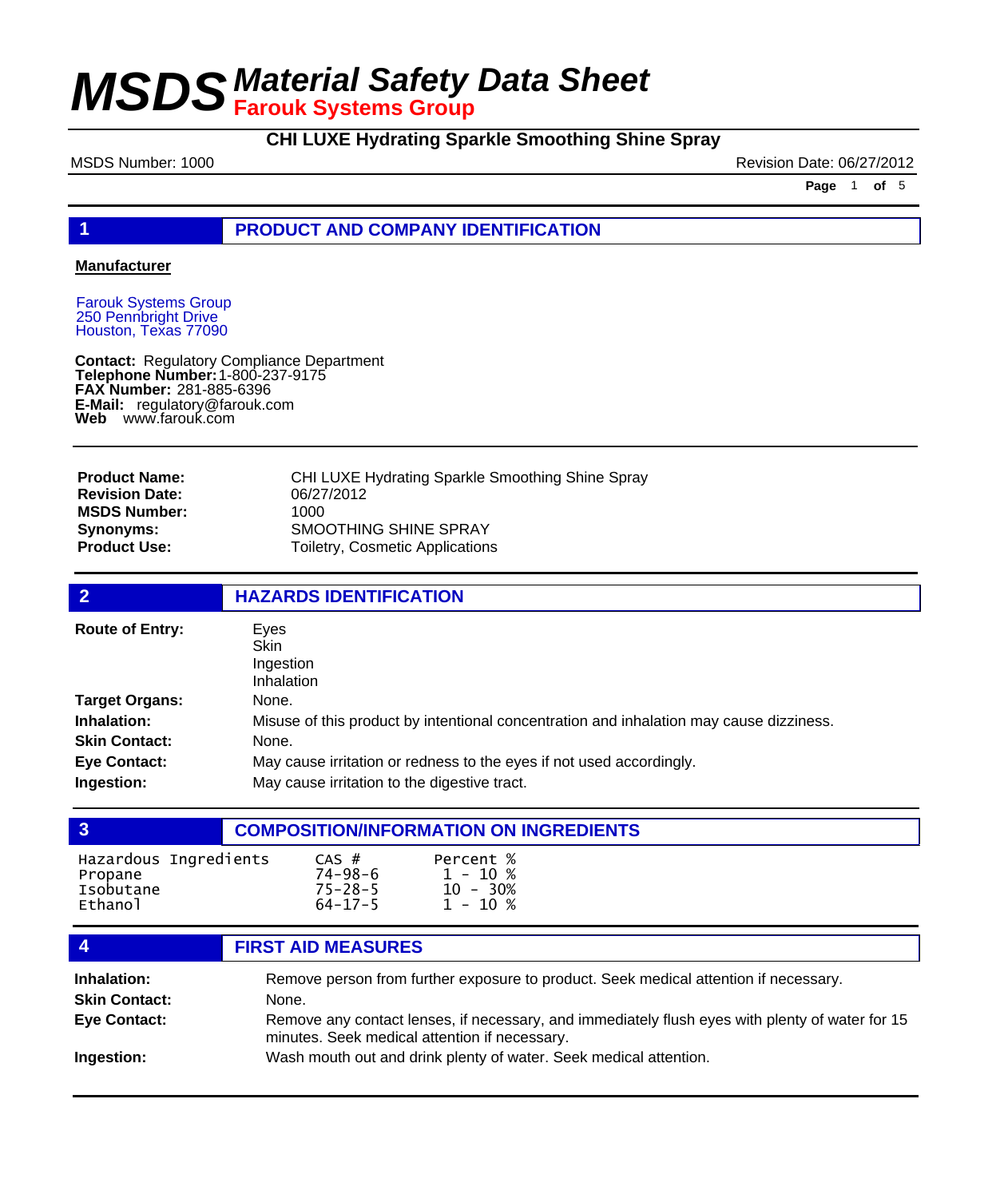## **CHI LUXE Hydrating Sparkle Smoothing Shine Spray**

MSDS Number: 1000 **Revision Date: 06/27/2012** 

**Page** 1 **of** 5

## **1 PRODUCT AND COMPANY IDENTIFICATION**

### **Manufacturer**

Farouk Systems Group 250 Pennbright Drive Houston, Texas 77090

**Contact: Telephone Number: FAX Number:** 281-885-6396 **E-Mail:** regulatory@farouk.com **Web** www.farouk.com Regulatory Compliance Department 1-800-237-9175

| <b>Product Name:</b>  | CHI LUXE Hydrating Sparkle Smoothing Shine Spray |
|-----------------------|--------------------------------------------------|
| <b>Revision Date:</b> | 06/27/2012                                       |
| <b>MSDS Number:</b>   | 1000                                             |
| Synonyms:             | SMOOTHING SHINE SPRAY                            |
| Product Use: .        | Toiletry, Cosmetic Applications                  |
|                       |                                                  |

| $\overline{2}$         | <b>HAZARDS IDENTIFICATION</b>                                                           |  |  |
|------------------------|-----------------------------------------------------------------------------------------|--|--|
| <b>Route of Entry:</b> | Eves<br>Skin<br>Ingestion<br><b>Inhalation</b>                                          |  |  |
| <b>Target Organs:</b>  | None.                                                                                   |  |  |
| Inhalation:            | Misuse of this product by intentional concentration and inhalation may cause dizziness. |  |  |
| <b>Skin Contact:</b>   | None.                                                                                   |  |  |
| <b>Eye Contact:</b>    | May cause irritation or redness to the eyes if not used accordingly.                    |  |  |
| Ingestion:             | May cause irritation to the digestive tract.                                            |  |  |

| $\overline{3}$                                             | <b>COMPOSITION/INFORMATION ON INGREDIENTS</b>                                                                                                                                                                                                     |  |  |
|------------------------------------------------------------|---------------------------------------------------------------------------------------------------------------------------------------------------------------------------------------------------------------------------------------------------|--|--|
| Hazardous Ingredients<br>Propane<br>Isobutane<br>Ethanol   | Percent %<br>$CAS$ #<br>$74 - 98 - 6$<br>$1 - 10 %$<br>$75 - 28 - 5$<br>$10 - 30%$<br>$1 - 10 %$<br>$64 - 17 - 5$                                                                                                                                 |  |  |
| -4                                                         | <b>FIRST AID MEASURES</b>                                                                                                                                                                                                                         |  |  |
| Inhalation:<br><b>Skin Contact:</b><br><b>Eye Contact:</b> | Remove person from further exposure to product. Seek medical attention if necessary.<br>None.<br>Remove any contact lenses, if necessary, and immediately flush eyes with plenty of water for 15<br>minutes. Seek medical attention if necessary. |  |  |

**Ingestion:** Wash mouth out and drink plenty of water. Seek medical attention.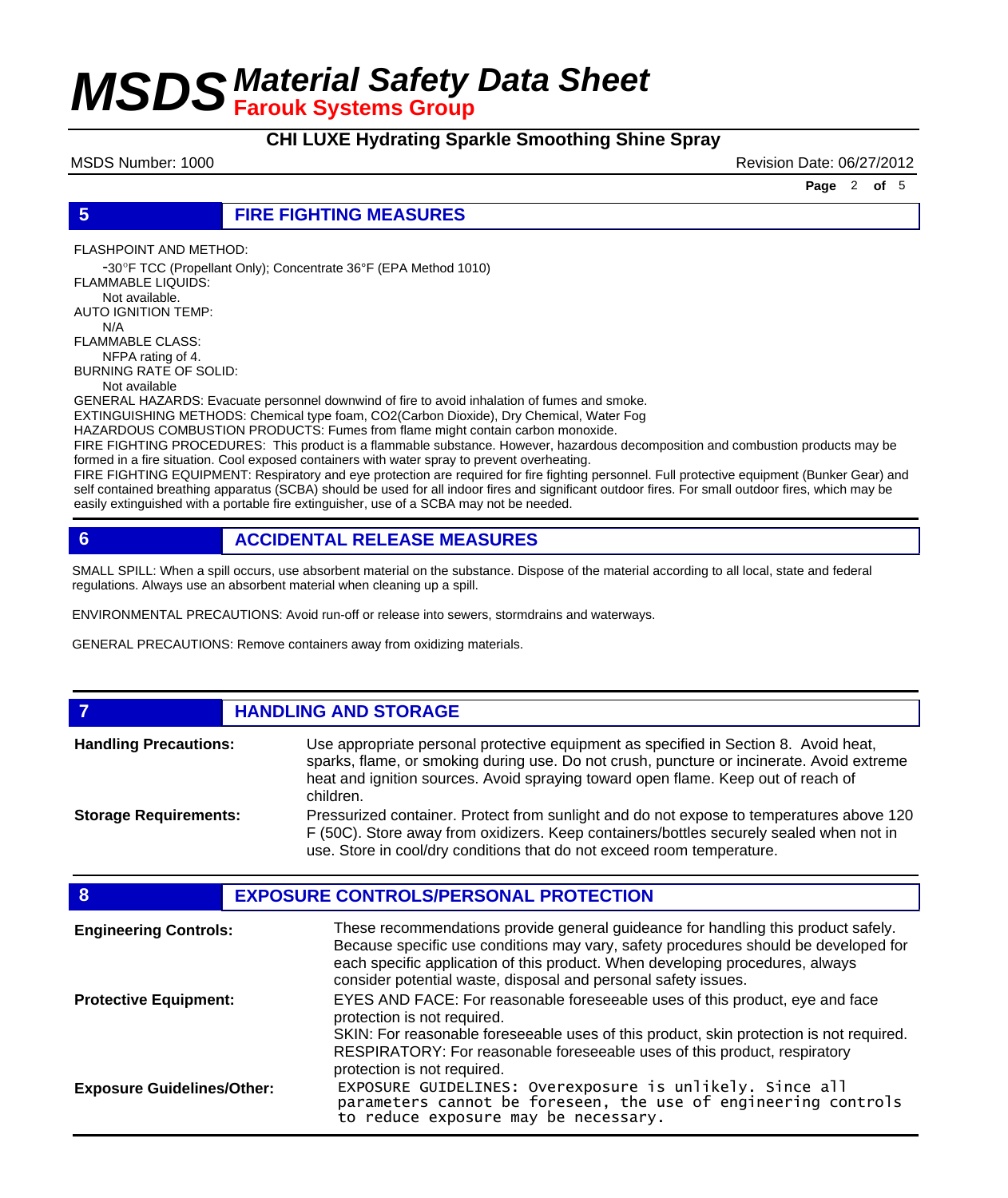## **CHI LUXE Hydrating Sparkle Smoothing Shine Spray**

MSDS Number: 1000 **Revision Date: 06/27/2012** 

**Page** 2 **of** 5

### **5 FIRE FIGHTING MEASURES**

FLASHPOINT AND METHOD:

 -30ºF TCC (Propellant Only); Concentrate 36°F (EPA Method 1010) FLAMMABLE LIQUIDS:

 Not available. AUTO IGNITION TEMP: N/A

FLAMMABLE CLASS:

 NFPA rating of 4. BURNING RATE OF SOLID:

Not available

GENERAL HAZARDS: Evacuate personnel downwind of fire to avoid inhalation of fumes and smoke.

EXTINGUISHING METHODS: Chemical type foam, CO2(Carbon Dioxide), Dry Chemical, Water Fog

HAZARDOUS COMBUSTION PRODUCTS: Fumes from flame might contain carbon monoxide.

FIRE FIGHTING PROCEDURES: This product is a flammable substance. However, hazardous decomposition and combustion products may be formed in a fire situation. Cool exposed containers with water spray to prevent overheating.

FIRE FIGHTING EQUIPMENT: Respiratory and eye protection are required for fire fighting personnel. Full protective equipment (Bunker Gear) and self contained breathing apparatus (SCBA) should be used for all indoor fires and significant outdoor fires. For small outdoor fires, which may be easily extinguished with a portable fire extinguisher, use of a SCBA may not be needed.

## **6 ACCIDENTAL RELEASE MEASURES**

SMALL SPILL: When a spill occurs, use absorbent material on the substance. Dispose of the material according to all local, state and federal regulations. Always use an absorbent material when cleaning up a spill.

ENVIRONMENTAL PRECAUTIONS: Avoid run-off or release into sewers, stormdrains and waterways.

GENERAL PRECAUTIONS: Remove containers away from oxidizing materials.

### **7 HANDLING AND STORAGE** Use appropriate personal protective equipment as specified in Section 8. Avoid heat, sparks, flame, or smoking during use. Do not crush, puncture or incinerate. Avoid extreme heat and ignition sources. Avoid spraying toward open flame. Keep out of reach of children. **Handling Precautions:** Pressurized container. Protect from sunlight and do not expose to temperatures above 120 F (50C). Store away from oxidizers. Keep containers/bottles securely sealed when not in use. Store in cool/dry conditions that do not exceed room temperature. **Storage Requirements:**

| 8                                 | <b>EXPOSURE CONTROLS/PERSONAL PROTECTION</b>                                                                                                                                                                                                                                                                                |
|-----------------------------------|-----------------------------------------------------------------------------------------------------------------------------------------------------------------------------------------------------------------------------------------------------------------------------------------------------------------------------|
| <b>Engineering Controls:</b>      | These recommendations provide general guideance for handling this product safely.<br>Because specific use conditions may vary, safety procedures should be developed for<br>each specific application of this product. When developing procedures, always<br>consider potential waste, disposal and personal safety issues. |
| <b>Protective Equipment:</b>      | EYES AND FACE: For reasonable foreseeable uses of this product, eye and face<br>protection is not required.<br>SKIN: For reasonable foreseeable uses of this product, skin protection is not required.                                                                                                                      |
| <b>Exposure Guidelines/Other:</b> | RESPIRATORY: For reasonable foreseeable uses of this product, respiratory<br>protection is not required.<br>EXPOSURE GUIDELINES: Overexposure is unlikely. Since all parameters cannot be foreseen, the use of engineering controls<br>to reduce exposure may be necessary.                                                 |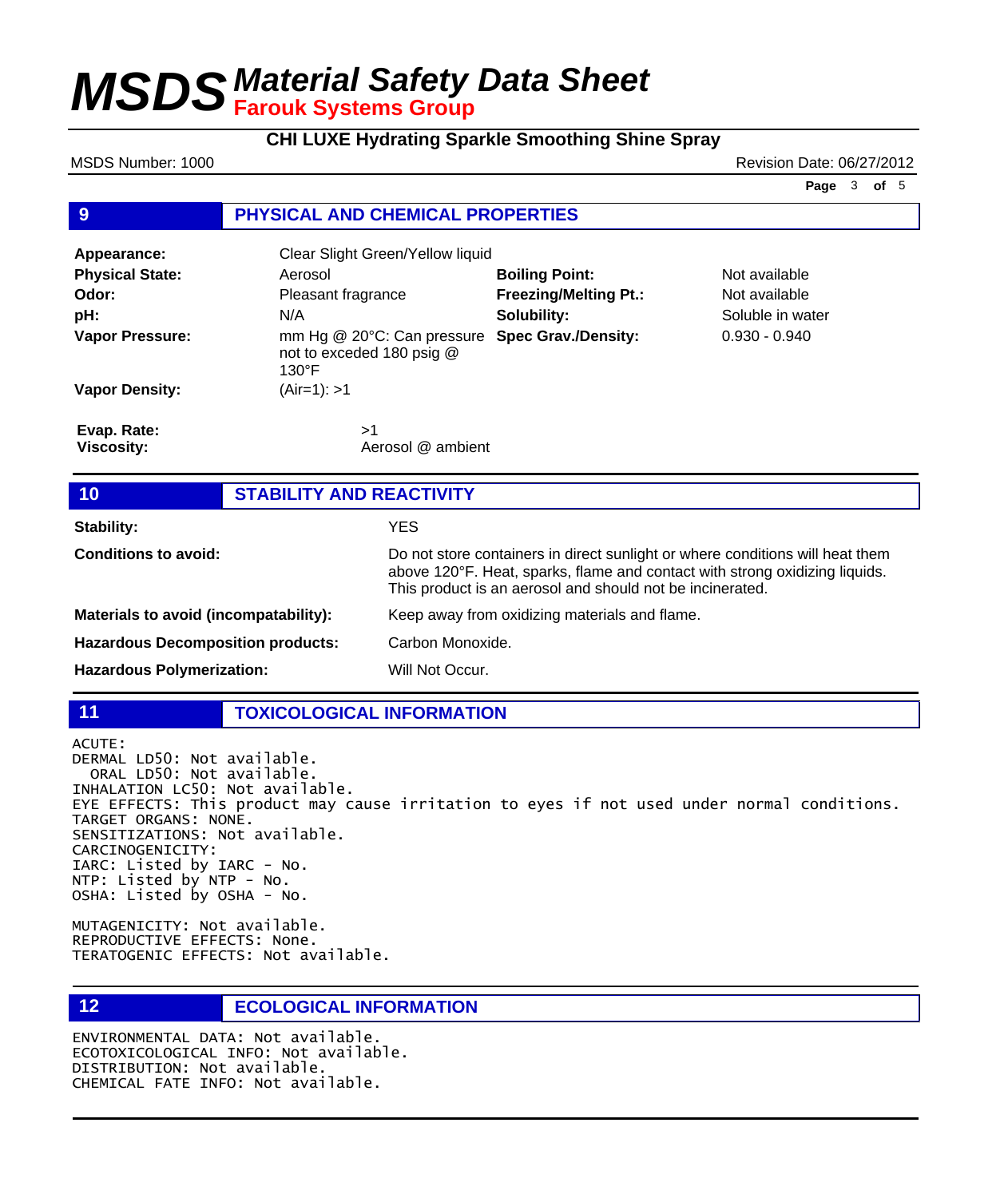**CHI LUXE Hydrating Sparkle Smoothing Shine Spray**

MSDS Number: 1000 **Revision Date: 06/27/2012** 

**Page** 3 **of** 5

### **9 PHYSICAL AND CHEMICAL PROPERTIES**

| Appearance:                      | Clear Slight Green/Yellow liquid                                                                                  |                              |                  |
|----------------------------------|-------------------------------------------------------------------------------------------------------------------|------------------------------|------------------|
| <b>Physical State:</b>           | Aerosol                                                                                                           | <b>Boiling Point:</b>        | Not available    |
| Odor:                            | Pleasant fragrance                                                                                                | <b>Freezing/Melting Pt.:</b> | Not available    |
| pH:                              | N/A                                                                                                               | Solubility:                  | Soluble in water |
| <b>Vapor Pressure:</b>           | mm Hg @ 20°C: Can pressure Spec Grav./Density:<br>$0.930 - 0.940$<br>not to exceded 180 psig @<br>$130^{\circ}$ F |                              |                  |
| <b>Vapor Density:</b>            | (Air=1): >1                                                                                                       |                              |                  |
| Evap. Rate:<br><b>Viscosity:</b> | >1<br>Aerosol @ ambient                                                                                           |                              |                  |

| 10                                       | <b>STABILITY AND REACTIVITY</b> |                                                                                                                                                                                                                           |  |
|------------------------------------------|---------------------------------|---------------------------------------------------------------------------------------------------------------------------------------------------------------------------------------------------------------------------|--|
| <b>Stability:</b>                        |                                 | <b>YES</b>                                                                                                                                                                                                                |  |
| <b>Conditions to avoid:</b>              |                                 | Do not store containers in direct sunlight or where conditions will heat them<br>above 120°F. Heat, sparks, flame and contact with strong oxidizing liquids.<br>This product is an aerosol and should not be incinerated. |  |
| Materials to avoid (incompatability):    |                                 | Keep away from oxidizing materials and flame.                                                                                                                                                                             |  |
| <b>Hazardous Decomposition products:</b> |                                 | Carbon Monoxide.                                                                                                                                                                                                          |  |
| <b>Hazardous Polymerization:</b>         |                                 | Will Not Occur.                                                                                                                                                                                                           |  |

**11 TOXICOLOGICAL INFORMATION**

ACUTE:

DERMAL LD50: Not available. ORAL LD50: Not available. INHALATION LC50: Not available. EYE EFFECTS: This product may cause irritation to eyes if not used under normal conditions. TARGET ORGANS: NONE. SENSITIZATIONS: Not available. CARCINOGENICITY: IARC: Listed by IARC - No. NTP: Listed by NTP - No. OSHA: Listed by OSHA - No.

MUTAGENICITY: Not available. REPRODUCTIVE EFFECTS: None. TERATOGENIC EFFECTS: Not available.

## **12 ECOLOGICAL INFORMATION**

ENVIRONMENTAL DATA: Not available. ECOTOXICOLOGICAL INFO: Not available. DISTRIBUTION: Not available. CHEMICAL FATE INFO: Not available.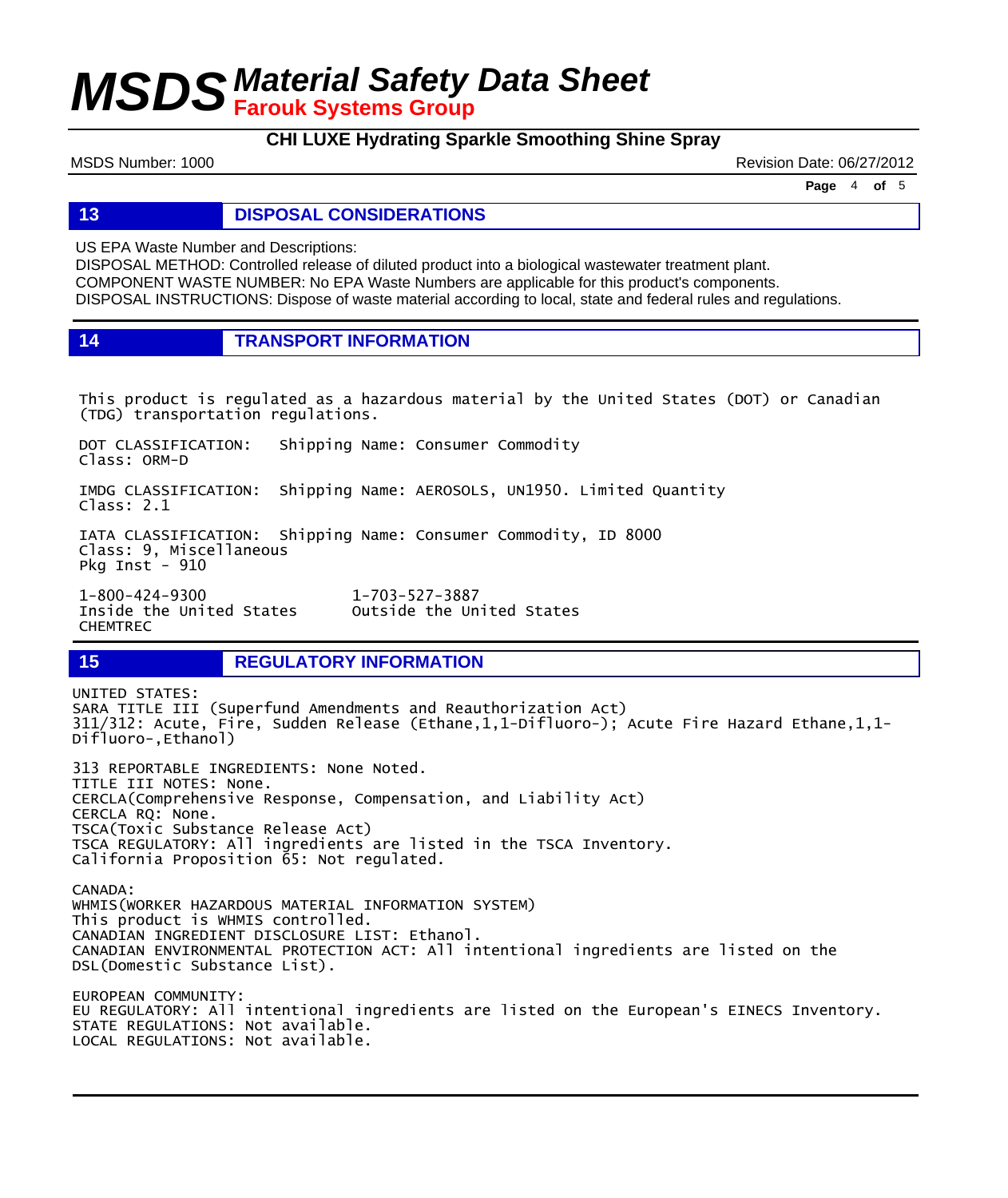**CHI LUXE Hydrating Sparkle Smoothing Shine Spray**

MSDS Number: 1000 **Revision Date: 06/27/2012** Revision Date: 06/27/2012

**Page** 4 **of** 5

**13 DISPOSAL CONSIDERATIONS**

US EPA Waste Number and Descriptions:

DISPOSAL METHOD: Controlled release of diluted product into a biological wastewater treatment plant. COMPONENT WASTE NUMBER: No EPA Waste Numbers are applicable for this product's components. DISPOSAL INSTRUCTIONS: Dispose of waste material according to local, state and federal rules and regulations.

**14 TRANSPORT INFORMATION**

This product is regulated as a hazardous material by the United States (DOT) or Canadian (TDG) transportation regulations.

Outside the United States

DOT CLASSIFICATION: Shipping Name: Consumer Commodity Class: ORM-D

IMDG CLASSIFICATION: Shipping Name: AEROSOLS, UN1950. Limited Quantity Class: 2.1

IATA CLASSIFICATION: Shipping Name: Consumer Commodity, ID 8000 Class: 9, Miscellaneous Pkg Inst - 910

1-800-424-9300 1-703-527-3887 CHEMTREC

**15 REGULATORY INFORMATION**

UNITED STATES: SARA TITLE III (Superfund Amendments and Reauthorization Act) 311/312: Acute, Fire, Sudden Release (Ethane,1,1-Difluoro-); Acute Fire Hazard Ethane,1,1- Difluoro-,Ethanol) 313 REPORTABLE INGREDIENTS: None Noted. TITLE III NOTES: None. CERCLA(Comprehensive Response, Compensation, and Liability Act) CERCLA RQ: None. TSCA(Toxic Substance Release Act) TSCA REGULATORY: All ingredients are listed in the TSCA Inventory. California Proposition 65: Not regulated. CANADA: WHMIS(WORKER HAZARDOUS MATERIAL INFORMATION SYSTEM) This product is WHMIS controlled. CANADIAN INGREDIENT DISCLOSURE LIST: Ethanol. CANADIAN ENVIRONMENTAL PROTECTION ACT: All intentional ingredients are listed on the DSL(Domestic Substance List).

EUROPEAN COMMUNITY: EU REGULATORY: All intentional ingredients are listed on the European's EINECS Inventory. STATE REGULATIONS: Not available. LOCAL REGULATIONS: Not available.